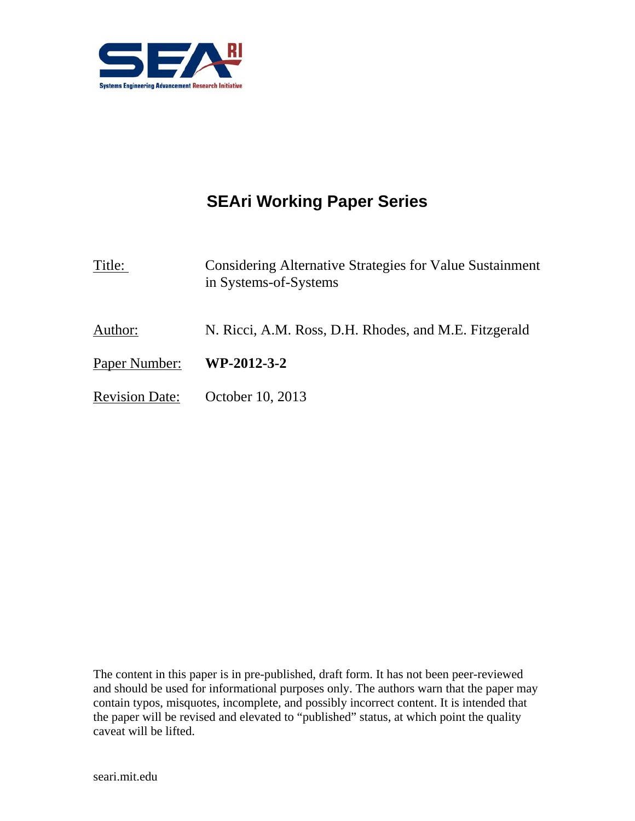

# **SEAri Working Paper Series**

| Title:                | Considering Alternative Strategies for Value Sustainment<br>in Systems-of-Systems |
|-----------------------|-----------------------------------------------------------------------------------|
| Author:               | N. Ricci, A.M. Ross, D.H. Rhodes, and M.E. Fitzgerald                             |
| Paper Number:         | WP-2012-3-2                                                                       |
| <b>Revision Date:</b> | October 10, 2013                                                                  |

The content in this paper is in pre-published, draft form. It has not been peer-reviewed and should be used for informational purposes only. The authors warn that the paper may contain typos, misquotes, incomplete, and possibly incorrect content. It is intended that the paper will be revised and elevated to "published" status, at which point the quality caveat will be lifted.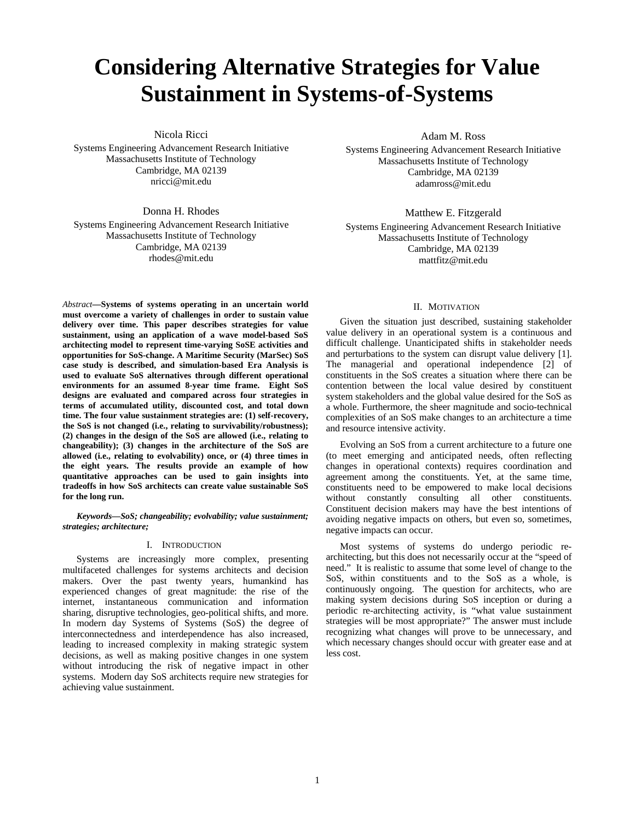# **Considering Alternative Strategies for Value Sustainment in Systems-of-Systems**

Nicola Ricci

Systems Engineering Advancement Research Initiative Massachusetts Institute of Technology Cambridge, MA 02139 nricci@mit.edu

Donna H. Rhodes

Systems Engineering Advancement Research Initiative Massachusetts Institute of Technology Cambridge, MA 02139 rhodes@mit.edu

*Abstract***—Systems of systems operating in an uncertain world must overcome a variety of challenges in order to sustain value delivery over time. This paper describes strategies for value sustainment, using an application of a wave model-based SoS architecting model to represent time-varying SoSE activities and opportunities for SoS-change. A Maritime Security (MarSec) SoS case study is described, and simulation-based Era Analysis is used to evaluate SoS alternatives through different operational environments for an assumed 8-year time frame. Eight SoS designs are evaluated and compared across four strategies in terms of accumulated utility, discounted cost, and total down time. The four value sustainment strategies are: (1) self-recovery, the SoS is not changed (i.e., relating to survivability/robustness); (2) changes in the design of the SoS are allowed (i.e., relating to changeability); (3) changes in the architecture of the SoS are allowed (i.e., relating to evolvability) once, or (4) three times in the eight years. The results provide an example of how quantitative approaches can be used to gain insights into tradeoffs in how SoS architects can create value sustainable SoS for the long run.** 

*Keywords—SoS; changeability; evolvability; value sustainment; strategies; architecture;* 

# I. INTRODUCTION

Systems are increasingly more complex, presenting multifaceted challenges for systems architects and decision makers. Over the past twenty years, humankind has experienced changes of great magnitude: the rise of the internet, instantaneous communication and information sharing, disruptive technologies, geo-political shifts, and more. In modern day Systems of Systems (SoS) the degree of interconnectedness and interdependence has also increased, leading to increased complexity in making strategic system decisions, as well as making positive changes in one system without introducing the risk of negative impact in other systems. Modern day SoS architects require new strategies for achieving value sustainment.

Adam M. Ross

Systems Engineering Advancement Research Initiative Massachusetts Institute of Technology Cambridge, MA 02139 adamross@mit.edu

Matthew E. Fitzgerald Systems Engineering Advancement Research Initiative Massachusetts Institute of Technology Cambridge, MA 02139 mattfitz@mit.edu

### II. MOTIVATION

Given the situation just described, sustaining stakeholder value delivery in an operational system is a continuous and difficult challenge. Unanticipated shifts in stakeholder needs and perturbations to the system can disrupt value delivery [1]. The managerial and operational independence [2] of constituents in the SoS creates a situation where there can be contention between the local value desired by constituent system stakeholders and the global value desired for the SoS as a whole. Furthermore, the sheer magnitude and socio-technical complexities of an SoS make changes to an architecture a time and resource intensive activity.

Evolving an SoS from a current architecture to a future one (to meet emerging and anticipated needs, often reflecting changes in operational contexts) requires coordination and agreement among the constituents. Yet, at the same time, constituents need to be empowered to make local decisions without constantly consulting all other constituents. Constituent decision makers may have the best intentions of avoiding negative impacts on others, but even so, sometimes, negative impacts can occur.

Most systems of systems do undergo periodic rearchitecting, but this does not necessarily occur at the "speed of need." It is realistic to assume that some level of change to the SoS, within constituents and to the SoS as a whole, is continuously ongoing. The question for architects, who are making system decisions during SoS inception or during a periodic re-architecting activity, is "what value sustainment strategies will be most appropriate?" The answer must include recognizing what changes will prove to be unnecessary, and which necessary changes should occur with greater ease and at less cost.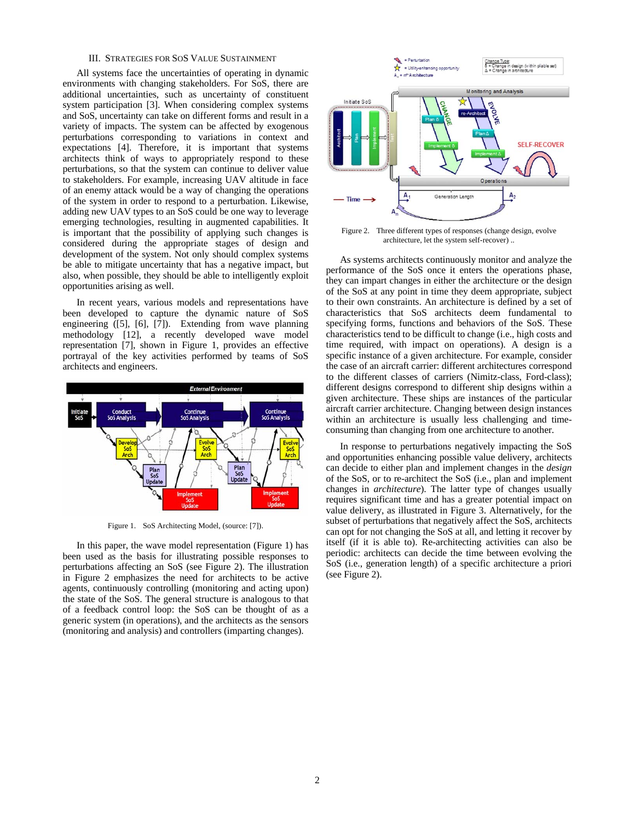## III. STRATEGIES FOR SOS VALUE SUSTAINMENT

All systems face the uncertainties of operating in dynamic environments with changing stakeholders. For SoS, there are additional uncertainties, such as uncertainty of constituent system participation [3]. When considering complex systems and SoS, uncertainty can take on different forms and result in a variety of impacts. The system can be affected by exogenous perturbations corresponding to variations in context and expectations [4]. Therefore, it is important that systems architects think of ways to appropriately respond to these perturbations, so that the system can continue to deliver value to stakeholders. For example, increasing UAV altitude in face of an enemy attack would be a way of changing the operations of the system in order to respond to a perturbation. Likewise, adding new UAV types to an SoS could be one way to leverage emerging technologies, resulting in augmented capabilities. It is important that the possibility of applying such changes is considered during the appropriate stages of design and development of the system. Not only should complex systems be able to mitigate uncertainty that has a negative impact, but also, when possible, they should be able to intelligently exploit opportunities arising as well.

In recent years, various models and representations have been developed to capture the dynamic nature of SoS engineering ([5], [6], [7]). Extending from wave planning methodology [12], a recently developed wave model representation [7], shown in Figure 1, provides an effective portrayal of the key activities performed by teams of SoS architects and engineers.



Figure 1. SoS Architecting Model, (source: [7]).

In this paper, the wave model representation (Figure 1) has been used as the basis for illustrating possible responses to perturbations affecting an SoS (see Figure 2). The illustration in Figure 2 emphasizes the need for architects to be active agents, continuously controlling (monitoring and acting upon) the state of the SoS. The general structure is analogous to that of a feedback control loop: the SoS can be thought of as a generic system (in operations), and the architects as the sensors (monitoring and analysis) and controllers (imparting changes).



Figure 2. Three different types of responses (change design, evolve architecture, let the system self-recover) ..

As systems architects continuously monitor and analyze the performance of the SoS once it enters the operations phase, they can impart changes in either the architecture or the design of the SoS at any point in time they deem appropriate, subject to their own constraints. An architecture is defined by a set of characteristics that SoS architects deem fundamental to specifying forms, functions and behaviors of the SoS. These characteristics tend to be difficult to change (i.e., high costs and time required, with impact on operations). A design is a specific instance of a given architecture. For example, consider the case of an aircraft carrier: different architectures correspond to the different classes of carriers (Nimitz-class, Ford-class); different designs correspond to different ship designs within a given architecture. These ships are instances of the particular aircraft carrier architecture. Changing between design instances within an architecture is usually less challenging and timeconsuming than changing from one architecture to another.

In response to perturbations negatively impacting the SoS and opportunities enhancing possible value delivery, architects can decide to either plan and implement changes in the *design* of the SoS, or to re-architect the SoS (i.e., plan and implement changes in *architecture*). The latter type of changes usually requires significant time and has a greater potential impact on value delivery, as illustrated in Figure 3. Alternatively, for the subset of perturbations that negatively affect the SoS, architects can opt for not changing the SoS at all, and letting it recover by itself (if it is able to). Re-architecting activities can also be periodic: architects can decide the time between evolving the SoS (i.e., generation length) of a specific architecture a priori (see Figure 2).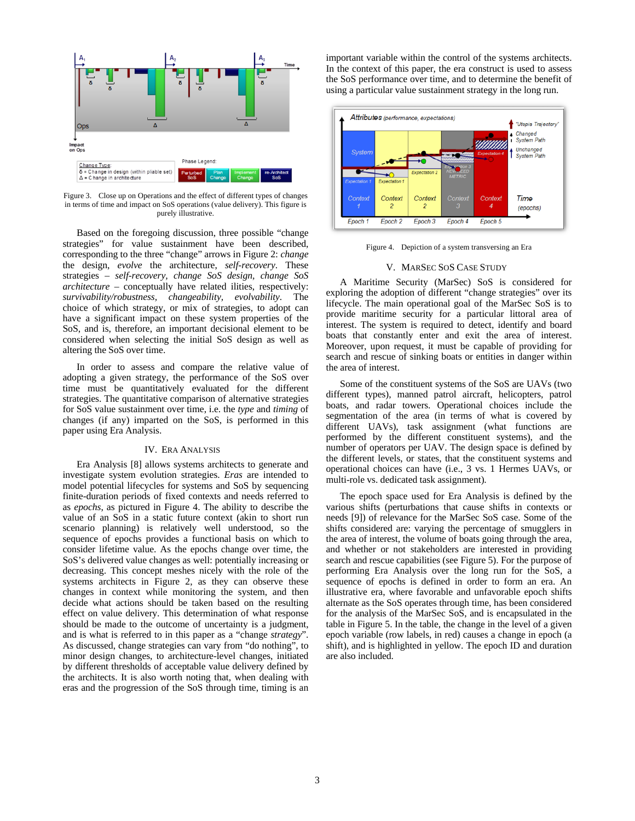

Figure 3. Close up on Operations and the effect of different types of changes in terms of time and impact on SoS operations (value delivery). This figure is purely illustrative.

Based on the foregoing discussion, three possible "change strategies" for value sustainment have been described, corresponding to the three "change" arrows in Figure 2: *change* the design, *evolve* the architecture, *self-recovery*. These strategies – *self-recovery, change SoS design, change SoS architecture* – conceptually have related ilities, respectively: *survivability/robustness, changeability, evolvability*. The choice of which strategy, or mix of strategies, to adopt can have a significant impact on these system properties of the SoS, and is, therefore, an important decisional element to be considered when selecting the initial SoS design as well as altering the SoS over time.

In order to assess and compare the relative value of adopting a given strategy, the performance of the SoS over time must be quantitatively evaluated for the different strategies. The quantitative comparison of alternative strategies for SoS value sustainment over time, i.e. the *type* and *timing* of changes (if any) imparted on the SoS, is performed in this paper using Era Analysis.

### IV. ERA ANALYSIS

Era Analysis [8] allows systems architects to generate and investigate system evolution strategies. *Eras* are intended to model potential lifecycles for systems and SoS by sequencing finite-duration periods of fixed contexts and needs referred to as *epochs*, as pictured in Figure 4. The ability to describe the value of an SoS in a static future context (akin to short run scenario planning) is relatively well understood, so the sequence of epochs provides a functional basis on which to consider lifetime value. As the epochs change over time, the SoS's delivered value changes as well: potentially increasing or decreasing. This concept meshes nicely with the role of the systems architects in Figure 2, as they can observe these changes in context while monitoring the system, and then decide what actions should be taken based on the resulting effect on value delivery. This determination of what response should be made to the outcome of uncertainty is a judgment, and is what is referred to in this paper as a "change *strategy*". As discussed, change strategies can vary from "do nothing", to minor design changes, to architecture-level changes, initiated by different thresholds of acceptable value delivery defined by the architects. It is also worth noting that, when dealing with eras and the progression of the SoS through time, timing is an

important variable within the control of the systems architects. In the context of this paper, the era construct is used to assess the SoS performance over time, and to determine the benefit of using a particular value sustainment strategy in the long run.



Figure 4. Depiction of a system transversing an Era

#### V. MARSEC SOS CASE STUDY

A Maritime Security (MarSec) SoS is considered for exploring the adoption of different "change strategies" over its lifecycle. The main operational goal of the MarSec SoS is to provide maritime security for a particular littoral area of interest. The system is required to detect, identify and board boats that constantly enter and exit the area of interest. Moreover, upon request, it must be capable of providing for search and rescue of sinking boats or entities in danger within the area of interest.

Some of the constituent systems of the SoS are UAVs (two different types), manned patrol aircraft, helicopters, patrol boats, and radar towers. Operational choices include the segmentation of the area (in terms of what is covered by different UAVs), task assignment (what functions are performed by the different constituent systems), and the number of operators per UAV. The design space is defined by the different levels, or states, that the constituent systems and operational choices can have (i.e., 3 vs. 1 Hermes UAVs, or multi-role vs. dedicated task assignment).

The epoch space used for Era Analysis is defined by the various shifts (perturbations that cause shifts in contexts or needs [9]) of relevance for the MarSec SoS case. Some of the shifts considered are: varying the percentage of smugglers in the area of interest, the volume of boats going through the area, and whether or not stakeholders are interested in providing search and rescue capabilities (see Figure 5). For the purpose of performing Era Analysis over the long run for the SoS, a sequence of epochs is defined in order to form an era. An illustrative era, where favorable and unfavorable epoch shifts alternate as the SoS operates through time, has been considered for the analysis of the MarSec SoS, and is encapsulated in the table in Figure 5. In the table, the change in the level of a given epoch variable (row labels, in red) causes a change in epoch (a shift), and is highlighted in yellow. The epoch ID and duration are also included.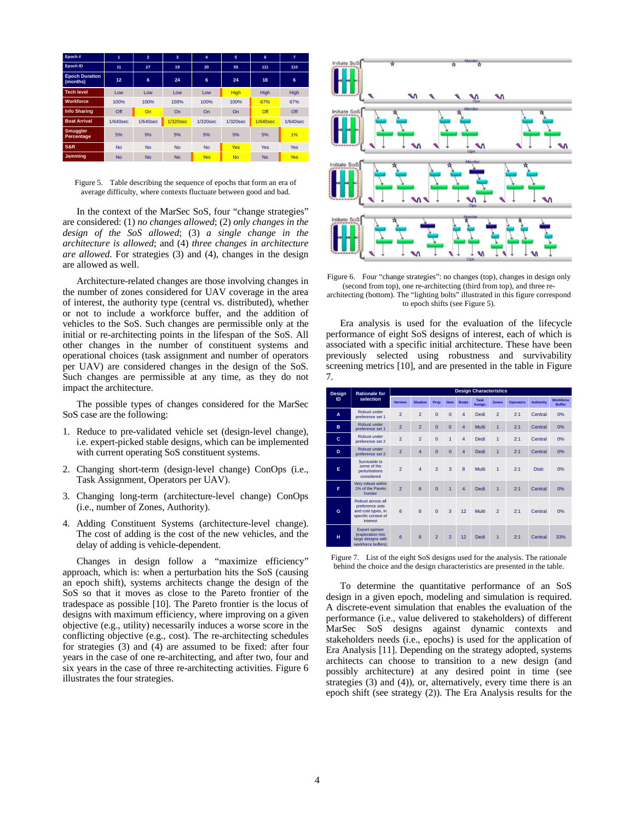| Epoch #                           | 1           | $\overline{2}$ | 3           | 4           | 5           | 6           | $\overline{7}$ |
|-----------------------------------|-------------|----------------|-------------|-------------|-------------|-------------|----------------|
| Epoch ID                          | 11          | 27             | 19          | 20          | 55          | 111         | 110            |
| <b>Epoch Duration</b><br>(months) | 12          | 6              | 24          | 6           | 24          | 18          | 6              |
| <b>Tech level</b>                 | Low         | Low            | Low         | <b>Low</b>  | <b>High</b> | High        | High           |
| <b>Workforce</b>                  | 100%        | 100%           | 100%        | 100%        | 100%        | 67%         | 67%            |
| <b>Info Sharing</b>               | Off         | On             | On          | On          | On          | Off         | Off            |
| <b>Boat Arrival</b>               | $1/640$ sec | $1/640$ sec    | $1/320$ sec | $1/320$ sec | $1/320$ sec | $1/640$ sec | $1/640$ sec    |
| <b>Smuggler</b><br>Percentage     | 5%          | 5%             | 5%          | 5%          | 5%          | 5%          | 1%             |
| <b>S&amp;R</b>                    | <b>No</b>   | <b>No</b>      | <b>No</b>   | <b>No</b>   | <b>Yes</b>  | <b>Yes</b>  | <b>Yes</b>     |
| Jamming                           | <b>No</b>   | <b>No</b>      | <b>No</b>   | <b>Yes</b>  | <b>No</b>   | <b>No</b>   | <b>Yes</b>     |

Figure 5. Table describing the sequence of epochs that form an era of average difficulty, where contexts fluctuate between good and bad.

In the context of the MarSec SoS, four "change strategies" are considered: (1) *no changes allowed*; (2) *only changes in the design of the SoS allowed*; (3) *a single change in the architecture is allowed*; and (4) *three changes in architecture are allowed*. For strategies (3) and (4), changes in the design are allowed as well.

Architecture-related changes are those involving changes in the number of zones considered for UAV coverage in the area of interest, the authority type (central vs. distributed), whether or not to include a workforce buffer, and the addition of vehicles to the SoS. Such changes are permissible only at the initial or re-architecting points in the lifespan of the SoS. All other changes in the number of constituent systems and operational choices (task assignment and number of operators per UAV) are considered changes in the design of the SoS. Such changes are permissible at any time, as they do not impact the architecture.

The possible types of changes considered for the MarSec SoS case are the following:

- 1. Reduce to pre-validated vehicle set (design-level change), i.e. expert-picked stable designs, which can be implemented with current operating SoS constituent systems.
- 2. Changing short-term (design-level change) ConOps (i.e., Task Assignment, Operators per UAV).
- 3. Changing long-term (architecture-level change) ConOps (i.e., number of Zones, Authority).
- 4. Adding Constituent Systems (architecture-level change). The cost of adding is the cost of the new vehicles, and the delay of adding is vehicle-dependent.

Changes in design follow a "maximize efficiency" approach, which is: when a perturbation hits the SoS (causing an epoch shift), systems architects change the design of the SoS so that it moves as close to the Pareto frontier of the tradespace as possible [10]. The Pareto frontier is the locus of designs with maximum efficiency, where improving on a given objective (e.g., utility) necessarily induces a worse score in the conflicting objective (e.g., cost). The re-architecting schedules for strategies (3) and (4) are assumed to be fixed: after four years in the case of one re-architecting, and after two, four and six years in the case of three re-architecting activities. Figure 6 illustrates the four strategies.



Figure 6. Four "change strategies": no changes (top), changes in design only (second from top), one re-architecting (third from top), and three rearchitecting (bottom). The "lighting bolts" illustrated in this figure correspond to epoch shifts (see Figure 5).

Era analysis is used for the evaluation of the lifecycle performance of eight SoS designs of interest, each of which is associated with a specific initial architecture. These have been previously selected using robustness and survivability screening metrics [10], and are presented in the table in Figure 7.

| Design | <b>Rationale for</b>                                                                          |                |                         |                |                |                | <b>Design Characteristics</b> |                |                  |                  |                            |
|--------|-----------------------------------------------------------------------------------------------|----------------|-------------------------|----------------|----------------|----------------|-------------------------------|----------------|------------------|------------------|----------------------------|
| ID     | selection                                                                                     | <b>Hermes</b>  | Shadow                  | Prop           | Helo           | <b>Boats</b>   | <b>Task</b><br>Assian.        | Zones          | <b>Operators</b> | <b>Authority</b> | Workforce<br><b>Buffer</b> |
| A      | Robust under<br>preference set 1                                                              | $\overline{2}$ | $\overline{\mathbf{c}}$ | $\Omega$       | $\Omega$       | $\overline{4}$ | Dedi                          | $\overline{a}$ | 2:1              | Central          | 0%                         |
| B      | Robust under<br>preference set 1                                                              | $\overline{2}$ | $\overline{2}$          | $\Omega$       | $\overline{0}$ | $\overline{4}$ | Multi                         | 1              | 2:1              | Central          | 0%                         |
| c      | Robust under<br>preference set 2                                                              | $\overline{2}$ | $\overline{a}$          | $\Omega$       | 1              | $\overline{4}$ | Dedi                          | 1              | 2:1              | Central          | 0%                         |
| D      | Robust under<br>preference set 2                                                              | $\overline{2}$ | $\overline{4}$          | $\overline{0}$ | $\overline{0}$ | $\overline{4}$ | Dedi                          | 1              | 2:1              | Central          | 0%                         |
| E      | Survivable to<br>some of the<br>perturbations<br>considered                                   | $\overline{2}$ | $\overline{4}$          | $\overline{2}$ | $\overline{3}$ | 8              | Multi                         | 1              | 2:1              | Distr.           | 0%                         |
| F      | Very robust within<br>1% of the Pareto<br>frontier                                            | $\overline{2}$ | 6                       | $\overline{0}$ | $\overline{1}$ | $\overline{4}$ | Dedi                          | 1              | 2:1              | Central          | 0%                         |
| G      | Robust across all<br>preference sets<br>and cost types, in<br>specific context of<br>interest | 6              | 6                       | $\mathbf 0$    | $\overline{3}$ | 12             | Multi                         | $\mathfrak{p}$ | 2:1              | Central          | 0%                         |
| н      | <b>Expert opinion</b><br>(exploration into<br>large designs with<br>workforce buffers)        | 6              | 6                       | $\overline{2}$ | $\overline{2}$ | 12             | Dedi                          | $\overline{1}$ | 2:1              | Central          | 33%                        |

Figure 7. List of the eight SoS designs used for the analysis. The rationale behind the choice and the design characteristics are presented in the table.

To determine the quantitative performance of an SoS design in a given epoch, modeling and simulation is required. A discrete-event simulation that enables the evaluation of the performance (i.e., value delivered to stakeholders) of different MarSec SoS designs against dynamic contexts and stakeholders needs (i.e., epochs) is used for the application of Era Analysis [11]. Depending on the strategy adopted, systems architects can choose to transition to a new design (and possibly architecture) at any desired point in time (see strategies (3) and (4)), or, alternatively, every time there is an epoch shift (see strategy (2)). The Era Analysis results for the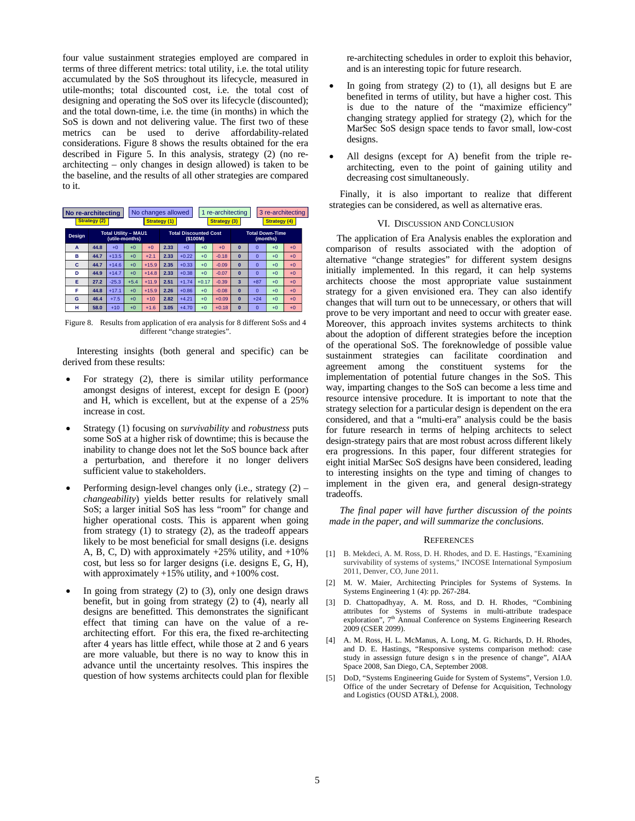four value sustainment strategies employed are compared in terms of three different metrics: total utility, i.e. the total utility accumulated by the SoS throughout its lifecycle, measured in utile-months; total discounted cost, i.e. the total cost of designing and operating the SoS over its lifecycle (discounted); and the total down-time, i.e. the time (in months) in which the SoS is down and not delivering value. The first two of these metrics can be used to derive affordability-related considerations. Figure 8 shows the results obtained for the era described in Figure 5. In this analysis, strategy (2) (no rearchitecting – only changes in design allowed) is taken to be the baseline, and the results of all other strategies are compared to it.

| No re-architecting |                     |         |                                               | 1 re-architecting<br>No changes allowed |                              |          |                     |                                    |                         | 3 re-architecting |                     |      |  |
|--------------------|---------------------|---------|-----------------------------------------------|-----------------------------------------|------------------------------|----------|---------------------|------------------------------------|-------------------------|-------------------|---------------------|------|--|
|                    | <b>Strategy (2)</b> |         |                                               |                                         | <b>Strategy (1)</b>          |          | <b>Strategy (3)</b> |                                    |                         |                   | <b>Strategy (4)</b> |      |  |
| Design             |                     |         | <b>Total Utility - MAU1</b><br>(utile-months) |                                         | <b>Total Discounted Cost</b> | (\$100M) |                     | <b>Total Down-Time</b><br>(months) |                         |                   |                     |      |  |
| A                  | 44.8                | $+0$    | $+0$                                          | $+0$                                    | 2.33                         | $+0$     | $+0$                | $+0$                               | $\mathbf{0}$            | $\Omega$          | $+0$                | $+0$ |  |
| в                  | 44.7                | $+13.5$ | $+0$                                          | $+2.1$                                  | 2.33                         | $+0.22$  | $+0$                | $-0.18$                            | $\mathbf{0}$            | $\Omega$          | $+0$                | $+0$ |  |
| c                  | 44.7                | $+14.6$ | $+0$                                          | $+15.9$                                 | 2.35                         | $+0.33$  | $+0$                | $-0.09$                            | $\mathbf{0}$            | $\Omega$          | $+0$                | $+0$ |  |
| D                  | 44.9                | $+14.7$ | $+0$                                          | $+14.8$                                 | 2.33                         | $+0.38$  | $+0$                | $-0.07$                            | $\mathbf{0}$            | $\Omega$          | $+0$                | $+0$ |  |
| Е                  | 27.2                | $-25.3$ | $+5.4$                                        | $+11.9$                                 | 2.51                         | $+1.74$  | $+0.17$             | $-0.39$                            | $\overline{\mathbf{3}}$ | $+87$             | $+0$                | $+0$ |  |
| F                  | 44.8                | $+17.1$ | $+0$                                          | $+15.9$                                 | 2.26                         | $+0.86$  | $+0$                | $-0.08$                            | $\mathbf{0}$            | $\Omega$          | $+0$                | $+0$ |  |
| G                  | 46.4                | $+7.5$  | $+0$                                          | $+10$                                   | 2.82                         | $+4.21$  | $+0$                | $+0.09$                            | $\mathbf{0}$            | $+24$             | $+0$                | $+0$ |  |
| н                  | 58.0                | $+10$   | $+0$                                          | $+1.6$                                  | 3.05                         | $+4.70$  | $+0$                | $+0.18$                            | $\mathbf{0}$            | $\Omega$          | $+0$                | $+0$ |  |

Figure 8. Results from application of era analysis for 8 different SoSs and 4 different "change strategies".

Interesting insights (both general and specific) can be derived from these results:

- For strategy (2), there is similar utility performance amongst designs of interest, except for design E (poor) and H, which is excellent, but at the expense of a 25% increase in cost.
- Strategy (1) focusing on *survivability* and *robustness* puts some SoS at a higher risk of downtime; this is because the inability to change does not let the SoS bounce back after a perturbation, and therefore it no longer delivers sufficient value to stakeholders.
- Performing design-level changes only (i.e., strategy  $(2)$  *changeability*) yields better results for relatively small SoS; a larger initial SoS has less "room" for change and higher operational costs. This is apparent when going from strategy (1) to strategy (2), as the tradeoff appears likely to be most beneficial for small designs (i.e. designs A, B, C, D) with approximately  $+25\%$  utility, and  $+10\%$ cost, but less so for larger designs (i.e. designs E, G, H), with approximately  $+15\%$  utility, and  $+100\%$  cost.
- In going from strategy  $(2)$  to  $(3)$ , only one design draws benefit, but in going from strategy (2) to (4), nearly all designs are benefitted. This demonstrates the significant effect that timing can have on the value of a rearchitecting effort. For this era, the fixed re-architecting after 4 years has little effect, while those at 2 and 6 years are more valuable, but there is no way to know this in advance until the uncertainty resolves. This inspires the question of how systems architects could plan for flexible

re-architecting schedules in order to exploit this behavior, and is an interesting topic for future research.

- In going from strategy  $(2)$  to  $(1)$ , all designs but E are benefited in terms of utility, but have a higher cost. This is due to the nature of the "maximize efficiency" changing strategy applied for strategy (2), which for the MarSec SoS design space tends to favor small, low-cost designs.
- All designs (except for A) benefit from the triple rearchitecting, even to the point of gaining utility and decreasing cost simultaneously.

Finally, it is also important to realize that different strategies can be considered, as well as alternative eras.

#### VI. DISCUSSION AND CONCLUSION

The application of Era Analysis enables the exploration and comparison of results associated with the adoption of alternative "change strategies" for different system designs initially implemented. In this regard, it can help systems architects choose the most appropriate value sustainment strategy for a given envisioned era. They can also identify changes that will turn out to be unnecessary, or others that will prove to be very important and need to occur with greater ease. Moreover, this approach invites systems architects to think about the adoption of different strategies before the inception of the operational SoS. The foreknowledge of possible value sustainment strategies can facilitate coordination and agreement among the constituent systems for the implementation of potential future changes in the SoS. This way, imparting changes to the SoS can become a less time and resource intensive procedure. It is important to note that the strategy selection for a particular design is dependent on the era considered, and that a "multi-era" analysis could be the basis for future research in terms of helping architects to select design-strategy pairs that are most robust across different likely era progressions. In this paper, four different strategies for eight initial MarSec SoS designs have been considered, leading to interesting insights on the type and timing of changes to implement in the given era, and general design-strategy tradeoffs.

*The final paper will have further discussion of the points made in the paper, and will summarize the conclusions.* 

#### **REFERENCES**

- [1] B. Mekdeci, A. M. Ross, D. H. Rhodes, and D. E. Hastings, "Examining survivability of systems of systems," INCOSE International Symposium 2011, Denver, CO, June 2011.
- [2] M. W. Maier, Architecting Principles for Systems of Systems. In Systems Engineering 1 (4): pp. 267-284.
- [3] D. Chattopadhyay, A. M. Ross, and D. H. Rhodes, "Combining attributes for Systems of Systems in multi-attribute tradespace exploration",  $7<sup>th</sup>$  Annual Conference on Systems Engineering Research 2009 (CSER 2099).
- [4] A. M. Ross, H. L. McManus, A. Long, M. G. Richards, D. H. Rhodes, and D. E. Hastings, "Responsive systems comparison method: case study in assessign future design s in the presence of change", AIAA Space 2008, San Diego, CA, September 2008.
- [5] DoD, "Systems Engineering Guide for System of Systems", Version 1.0. Office of the under Secretary of Defense for Acquisition, Technology and Logistics (OUSD AT&L), 2008.